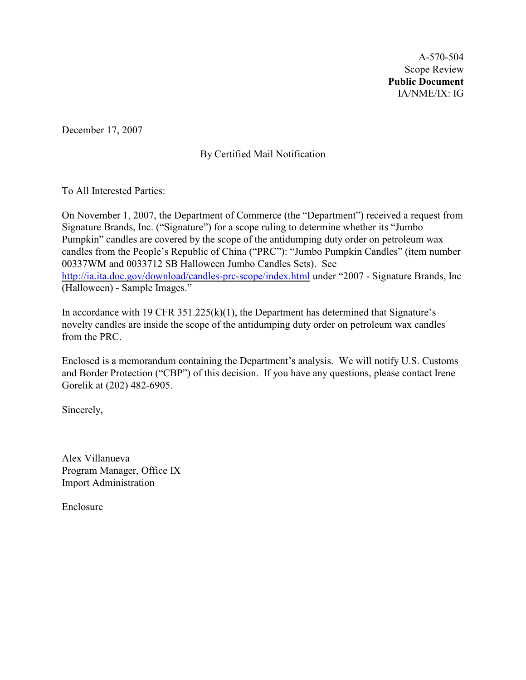A-570-504 Scope Review **Public Document** IA/NME/IX: IG

December 17, 2007

By Certified Mail Notification

To All Interested Parties:

On November 1, 2007, the Department of Commerce (the "Department") received a request from Signature Brands, Inc. ("Signature") for a scope ruling to determine whether its "Jumbo Pumpkin" candles are covered by the scope of the antidumping duty order on petroleum wax candles from the People's Republic of China ("PRC"): "Jumbo Pumpkin Candles" (item number 00337WM and 0033712 SB Halloween Jumbo Candles Sets). See <http://ia.ita.doc.gov/download/candles-prc-scope/index.html> under "2007 - Signature Brands, Inc (Halloween) - Sample Images."

In accordance with 19 CFR 351.225(k)(1), the Department has determined that Signature's novelty candles are inside the scope of the antidumping duty order on petroleum wax candles from the PRC.

Enclosed is a memorandum containing the Department's analysis. We will notify U.S. Customs and Border Protection ("CBP") of this decision. If you have any questions, please contact Irene Gorelik at (202) 482-6905.

Sincerely,

Alex Villanueva Program Manager, Office IX Import Administration

Enclosure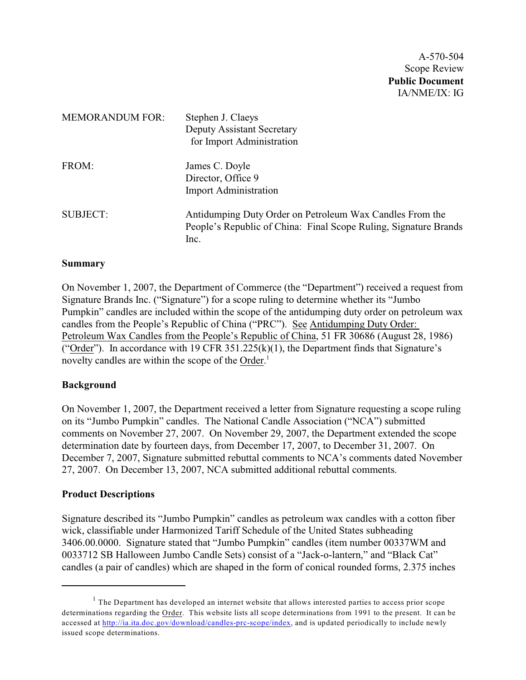A-570-504 Scope Review **Public Document** IA/NME/IX: IG

| <b>MEMORANDUM FOR:</b> | Stephen J. Claeys<br><b>Deputy Assistant Secretary</b><br>for Import Administration                                                  |
|------------------------|--------------------------------------------------------------------------------------------------------------------------------------|
| FROM:                  | James C. Doyle<br>Director, Office 9<br><b>Import Administration</b>                                                                 |
| <b>SUBJECT:</b>        | Antidumping Duty Order on Petroleum Wax Candles From the<br>People's Republic of China: Final Scope Ruling, Signature Brands<br>Inc. |

#### **Summary**

On November 1, 2007, the Department of Commerce (the "Department") received a request from Signature Brands Inc. ("Signature") for a scope ruling to determine whether its "Jumbo Pumpkin" candles are included within the scope of the antidumping duty order on petroleum wax candles from the People's Republic of China ("PRC"). See Antidumping Duty Order: Petroleum Wax Candles from the People's Republic of China, 51 FR 30686 (August 28, 1986) ("Order"). In accordance with 19 CFR  $351.225(k)(1)$ , the Department finds that Signature's novelty candles are within the scope of the Order.<sup>1</sup>

### **Background**

On November 1, 2007, the Department received a letter from Signature requesting a scope ruling on its "Jumbo Pumpkin" candles. The National Candle Association ("NCA") submitted comments on November 27, 2007. On November 29, 2007, the Department extended the scope determination date by fourteen days, from December 17, 2007, to December 31, 2007. On December 7, 2007, Signature submitted rebuttal comments to NCA's comments dated November 27, 2007. On December 13, 2007, NCA submitted additional rebuttal comments.

### **Product Descriptions**

Signature described its "Jumbo Pumpkin" candles as petroleum wax candles with a cotton fiber wick, classifiable under Harmonized Tariff Schedule of the United States subheading 3406.00.0000. Signature stated that "Jumbo Pumpkin" candles (item number 00337WM and 0033712 SB Halloween Jumbo Candle Sets) consist of a "Jack-o-lantern," and "Black Cat" candles (a pair of candles) which are shaped in the form of conical rounded forms, 2.375 inches

 $1$  The Department has developed an internet website that allows interested parties to access prior scope determinations regarding the Order. This website lists all scope determinations from 1991 to the present. It can be accessed at [http://ia.ita.doc.gov/download/candles-prc-scope/index,](http://ia.ita.doc.gov/download/candles-prc-scope/,) and is updated periodically to include newly issued scope determinations.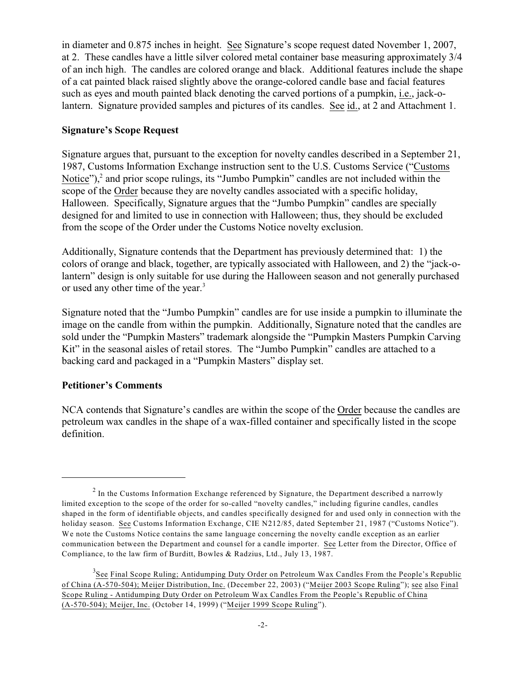in diameter and 0.875 inches in height. See Signature's scope request dated November 1, 2007, at 2. These candles have a little silver colored metal container base measuring approximately 3/4 of an inch high. The candles are colored orange and black. Additional features include the shape of a cat painted black raised slightly above the orange-colored candle base and facial features such as eyes and mouth painted black denoting the carved portions of a pumpkin, i.e., jack-olantern. Signature provided samples and pictures of its candles. See id., at 2 and Attachment 1.

### **Signature's Scope Request**

Signature argues that, pursuant to the exception for novelty candles described in a September 21, 1987, Customs Information Exchange instruction sent to the U.S. Customs Service ("Customs Notice"), $<sup>2</sup>$  and prior scope rulings, its "Jumbo Pumpkin" candles are not included within the</sup> scope of the Order because they are novelty candles associated with a specific holiday, Halloween. Specifically, Signature argues that the "Jumbo Pumpkin" candles are specially designed for and limited to use in connection with Halloween; thus, they should be excluded from the scope of the Order under the Customs Notice novelty exclusion.

Additionally, Signature contends that the Department has previously determined that: 1) the colors of orange and black, together, are typically associated with Halloween, and 2) the "jack-olantern" design is only suitable for use during the Halloween season and not generally purchased or used any other time of the year.<sup>3</sup>

Signature noted that the "Jumbo Pumpkin" candles are for use inside a pumpkin to illuminate the image on the candle from within the pumpkin. Additionally, Signature noted that the candles are sold under the "Pumpkin Masters" trademark alongside the "Pumpkin Masters Pumpkin Carving Kit" in the seasonal aisles of retail stores. The "Jumbo Pumpkin" candles are attached to a backing card and packaged in a "Pumpkin Masters" display set.

### **Petitioner's Comments**

NCA contends that Signature's candles are within the scope of the Order because the candles are petroleum wax candles in the shape of a wax-filled container and specifically listed in the scope definition.

 $<sup>2</sup>$  In the Customs Information Exchange referenced by Signature, the Department described a narrowly</sup> limited exception to the scope of the order for so-called "novelty candles," including figurine candles, candles shaped in the form of identifiable objects, and candles specifically designed for and used only in connection with the holiday season. See Customs Information Exchange, CIE N212/85, dated September 21, 1987 ("Customs Notice"). We note the Customs Notice contains the same language concerning the novelty candle exception as an earlier communication between the Department and counsel for a candle importer. See Letter from the Director, Office of Compliance, to the law firm of Burditt, Bowles & Radzius, Ltd., July 13, 1987.

<sup>&</sup>lt;sup>3</sup>See Final Scope Ruling; Antidumping Duty Order on Petroleum Wax Candles From the People's Republic of China (A-570-504); Meijer Distribution, Inc. (December 22, 2003) ("Meijer 2003 Scope Ruling"); see also Final Scope Ruling - Antidumping Duty Order on Petroleum Wax Candles From the People's Republic of China (A-570-504); Meijer, Inc. (October 14, 1999) ("Meijer 1999 Scope Ruling").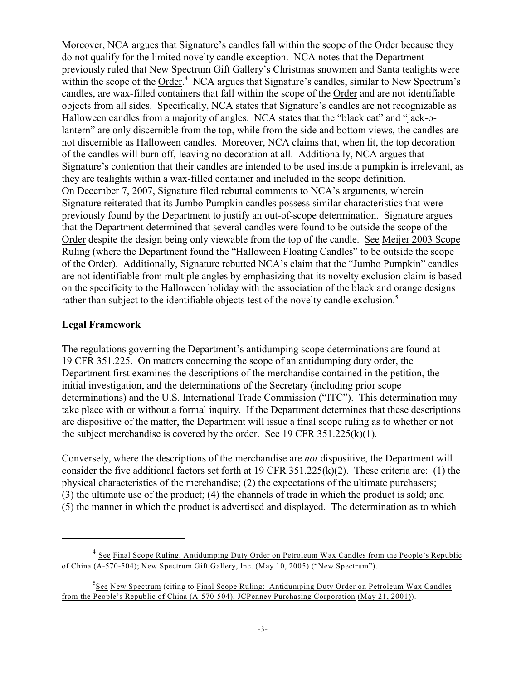Moreover, NCA argues that Signature's candles fall within the scope of the Order because they do not qualify for the limited novelty candle exception. NCA notes that the Department previously ruled that New Spectrum Gift Gallery's Christmas snowmen and Santa tealights were within the scope of the Order.<sup>4</sup> NCA argues that Signature's candles, similar to New Spectrum's candles, are wax-filled containers that fall within the scope of the Order and are not identifiable objects from all sides. Specifically, NCA states that Signature's candles are not recognizable as Halloween candles from a majority of angles. NCA states that the "black cat" and "jack-olantern" are only discernible from the top, while from the side and bottom views, the candles are not discernible as Halloween candles. Moreover, NCA claims that, when lit, the top decoration of the candles will burn off, leaving no decoration at all. Additionally, NCA argues that Signature's contention that their candles are intended to be used inside a pumpkin is irrelevant, as they are tealights within a wax-filled container and included in the scope definition. On December 7, 2007, Signature filed rebuttal comments to NCA's arguments, wherein Signature reiterated that its Jumbo Pumpkin candles possess similar characteristics that were previously found by the Department to justify an out-of-scope determination. Signature argues that the Department determined that several candles were found to be outside the scope of the Order despite the design being only viewable from the top of the candle. See Meijer 2003 Scope Ruling (where the Department found the "Halloween Floating Candles" to be outside the scope of the Order). Additionally, Signature rebutted NCA's claim that the "Jumbo Pumpkin" candles are not identifiable from multiple angles by emphasizing that its novelty exclusion claim is based on the specificity to the Halloween holiday with the association of the black and orange designs rather than subject to the identifiable objects test of the novelty candle exclusion.<sup>5</sup>

### **Legal Framework**

The regulations governing the Department's antidumping scope determinations are found at 19 CFR 351.225. On matters concerning the scope of an antidumping duty order, the Department first examines the descriptions of the merchandise contained in the petition, the initial investigation, and the determinations of the Secretary (including prior scope determinations) and the U.S. International Trade Commission ("ITC"). This determination may take place with or without a formal inquiry. If the Department determines that these descriptions are dispositive of the matter, the Department will issue a final scope ruling as to whether or not the subject merchandise is covered by the order. See 19 CFR  $351.225(k)(1)$ .

Conversely, where the descriptions of the merchandise are *not* dispositive, the Department will consider the five additional factors set forth at 19 CFR 351.225(k)(2). These criteria are: (1) the physical characteristics of the merchandise; (2) the expectations of the ultimate purchasers; (3) the ultimate use of the product; (4) the channels of trade in which the product is sold; and (5) the manner in which the product is advertised and displayed. The determination as to which

<sup>&</sup>lt;sup>4</sup> See Final Scope Ruling; Antidumping Duty Order on Petroleum Wax Candles from the People's Republic of China (A-570-504); New Spectrum Gift Gallery, Inc. (May 10, 2005) ("New Spectrum").

<sup>&</sup>lt;sup>5</sup>See New Spectrum (citing to Final Scope Ruling: Antidumping Duty Order on Petroleum Wax Candles from the People's Republic of China (A-570-504); JCPenney Purchasing Corporation (May 21, 2001)).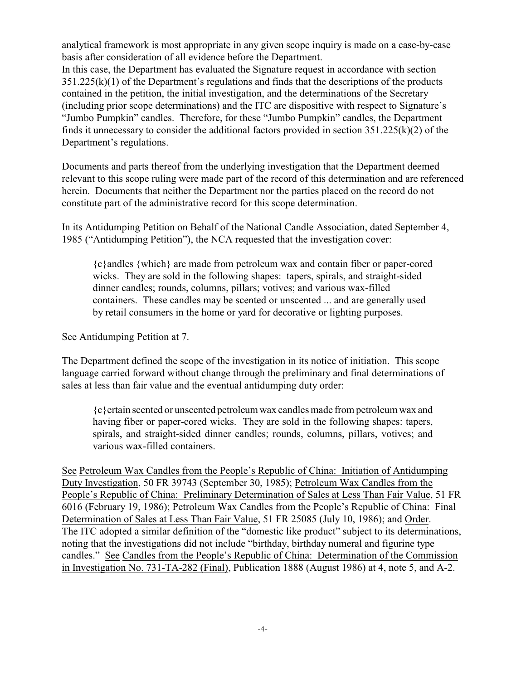analytical framework is most appropriate in any given scope inquiry is made on a case-by-case basis after consideration of all evidence before the Department.

In this case, the Department has evaluated the Signature request in accordance with section 351.225(k)(1) of the Department's regulations and finds that the descriptions of the products contained in the petition, the initial investigation, and the determinations of the Secretary (including prior scope determinations) and the ITC are dispositive with respect to Signature's "Jumbo Pumpkin" candles. Therefore, for these "Jumbo Pumpkin" candles, the Department finds it unnecessary to consider the additional factors provided in section 351.225(k)(2) of the Department's regulations.

Documents and parts thereof from the underlying investigation that the Department deemed relevant to this scope ruling were made part of the record of this determination and are referenced herein. Documents that neither the Department nor the parties placed on the record do not constitute part of the administrative record for this scope determination.

In its Antidumping Petition on Behalf of the National Candle Association, dated September 4, 1985 ("Antidumping Petition"), the NCA requested that the investigation cover:

{c}andles {which} are made from petroleum wax and contain fiber or paper-cored wicks. They are sold in the following shapes: tapers, spirals, and straight-sided dinner candles; rounds, columns, pillars; votives; and various wax-filled containers. These candles may be scented or unscented ... and are generally used by retail consumers in the home or yard for decorative or lighting purposes.

# See Antidumping Petition at 7.

The Department defined the scope of the investigation in its notice of initiation. This scope language carried forward without change through the preliminary and final determinations of sales at less than fair value and the eventual antidumping duty order:

{c}ertain scented or unscented petroleum wax candles made from petroleum wax and having fiber or paper-cored wicks. They are sold in the following shapes: tapers, spirals, and straight-sided dinner candles; rounds, columns, pillars, votives; and various wax-filled containers.

See Petroleum Wax Candles from the People's Republic of China: Initiation of Antidumping Duty Investigation, 50 FR 39743 (September 30, 1985); Petroleum Wax Candles from the People's Republic of China: Preliminary Determination of Sales at Less Than Fair Value, 51 FR 6016 (February 19, 1986); Petroleum Wax Candles from the People's Republic of China: Final Determination of Sales at Less Than Fair Value, 51 FR 25085 (July 10, 1986); and Order. The ITC adopted a similar definition of the "domestic like product" subject to its determinations, noting that the investigations did not include "birthday, birthday numeral and figurine type candles." See Candles from the People's Republic of China: Determination of the Commission in Investigation No. 731-TA-282 (Final), Publication 1888 (August 1986) at 4, note 5, and A-2.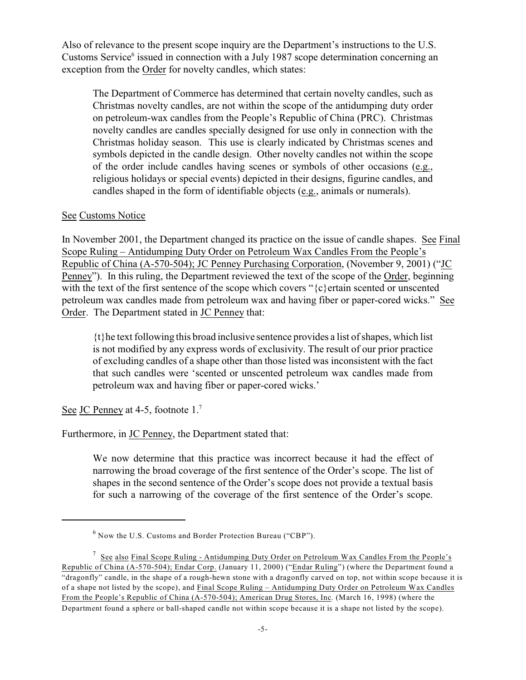Also of relevance to the present scope inquiry are the Department's instructions to the U.S. Customs Service<sup>6</sup> issued in connection with a July 1987 scope determination concerning an exception from the Order for novelty candles, which states:

The Department of Commerce has determined that certain novelty candles, such as Christmas novelty candles, are not within the scope of the antidumping duty order on petroleum-wax candles from the People's Republic of China (PRC). Christmas novelty candles are candles specially designed for use only in connection with the Christmas holiday season. This use is clearly indicated by Christmas scenes and symbols depicted in the candle design. Other novelty candles not within the scope of the order include candles having scenes or symbols of other occasions (e.g., religious holidays or special events) depicted in their designs, figurine candles, and candles shaped in the form of identifiable objects (e.g., animals or numerals).

### See Customs Notice

In November 2001, the Department changed its practice on the issue of candle shapes.See Final Scope Ruling – Antidumping Duty Order on Petroleum Wax Candles From the People's Republic of China (A-570-504); JC Penney Purchasing Corporation, (November 9, 2001) ("JC Penney"). In this ruling, the Department reviewed the text of the scope of the Order, beginning with the text of the first sentence of the scope which covers "{c}ertain scented or unscented petroleum wax candles made from petroleum wax and having fiber or paper-cored wicks." See Order. The Department stated in JC Penney that:

{t}he text following this broad inclusive sentence provides a list of shapes, which list is not modified by any express words of exclusivity. The result of our prior practice of excluding candles of a shape other than those listed was inconsistent with the fact that such candles were 'scented or unscented petroleum wax candles made from petroleum wax and having fiber or paper-cored wicks.'

See JC Penney at 4-5, footnote 1.<sup>7</sup>

Furthermore, in JC Penney, the Department stated that:

We now determine that this practice was incorrect because it had the effect of narrowing the broad coverage of the first sentence of the Order's scope. The list of shapes in the second sentence of the Order's scope does not provide a textual basis for such a narrowing of the coverage of the first sentence of the Order's scope.

 $6$  Now the U.S. Customs and Border Protection Bureau ("CBP").

 $\frac{7}{1}$  See also Final Scope Ruling - Antidumping Duty Order on Petroleum Wax Candles From the People's Republic of China (A-570-504); Endar Corp. (January 11, 2000) ("Endar Ruling") (where the Department found a "dragonfly" candle, in the shape of a rough-hewn stone with a dragonfly carved on top, not within scope because it is of a shape not listed by the scope), and Final Scope Ruling – Antidumping Duty Order on Petroleum Wax Candles From the People's Republic of China (A-570-504); American Drug Stores, Inc*.* (March 16, 1998) (where the Department found a sphere or ball-shaped candle not within scope because it is a shape not listed by the scope).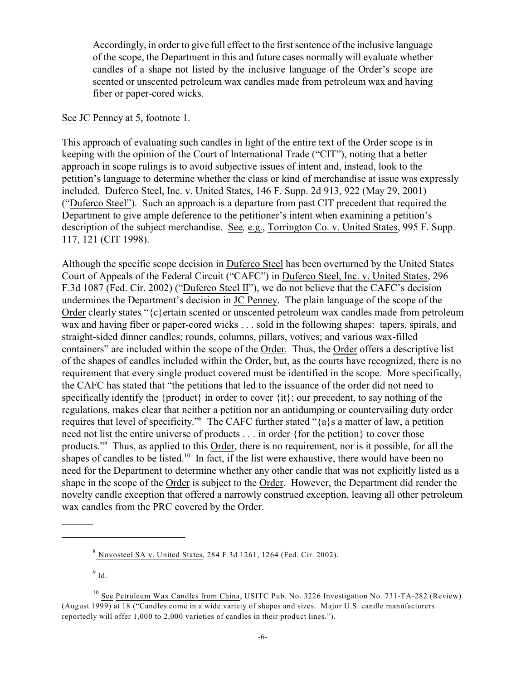Accordingly, in order to give full effect to the first sentence of the inclusive language of the scope, the Department in this and future cases normally will evaluate whether candles of a shape not listed by the inclusive language of the Order's scope are scented or unscented petroleum wax candles made from petroleum wax and having fiber or paper-cored wicks.

# See JC Penney at 5, footnote 1.

This approach of evaluating such candles in light of the entire text of the Order scope is in keeping with the opinion of the Court of International Trade ("CIT"), noting that a better approach in scope rulings is to avoid subjective issues of intent and, instead, look to the petition's language to determine whether the class or kind of merchandise at issue was expressly included. Duferco Steel, Inc. v. United States, 146 F. Supp. 2d 913, 922 (May 29, 2001) ("Duferco Steel"). Such an approach is a departure from past CIT precedent that required the Department to give ample deference to the petitioner's intent when examining a petition's description of the subject merchandise. See*,* e.g., Torrington Co. v. United States, 995 F. Supp. 117, 121 (CIT 1998).

Although the specific scope decision in **Duferco Steel** has been overturned by the United States Court of Appeals of the Federal Circuit ("CAFC") in Duferco Steel, Inc. v. United States, 296 F.3d 1087 (Fed. Cir. 2002) ("Duferco Steel II"), we do not believe that the CAFC's decision undermines the Department's decision in JC Penney. The plain language of the scope of the Order clearly states "{c}ertain scented or unscented petroleum wax candles made from petroleum wax and having fiber or paper-cored wicks . . . sold in the following shapes: tapers, spirals, and straight-sided dinner candles; rounds, columns, pillars, votives; and various wax-filled containers" are included within the scope of the Order*.* Thus, the Order offers a descriptive list of the shapes of candles included within the Order, but, as the courts have recognized, there is no requirement that every single product covered must be identified in the scope. More specifically, the CAFC has stated that "the petitions that led to the issuance of the order did not need to specifically identify the {product} in order to cover  $\{it\}$ ; our precedent, to say nothing of the regulations, makes clear that neither a petition nor an antidumping or countervailing duty order requires that level of specificity."<sup>8</sup> The CAFC further stated "{a}s a matter of law, a petition need not list the entire universe of products . . . in order {for the petition} to cover those products."<sup>9</sup> Thus, as applied to this Order, there is no requirement, nor is it possible, for all the shapes of candles to be listed.<sup>10</sup> In fact, if the list were exhaustive, there would have been no need for the Department to determine whether any other candle that was not explicitly listed as a shape in the scope of the Order is subject to the Order. However, the Department did render the novelty candle exception that offered a narrowly construed exception, leaving all other petroleum wax candles from the PRC covered by the Order.

 $9 \underline{\mathbf{Id}}$ .

 $8$  Novosteel SA v. United States, 284 F.3d 1261, 1264 (Fed. Cir. 2002).

<sup>&</sup>lt;sup>10</sup> See Petroleum Wax Candles from China, USITC Pub. No. 3226 Investigation No. 731-TA-282 (Review) (August 1999) at 18 ("Candles come in a wide variety of shapes and sizes. Major U.S. candle manufacturers reportedly will offer 1,000 to 2,000 varieties of candles in their product lines.").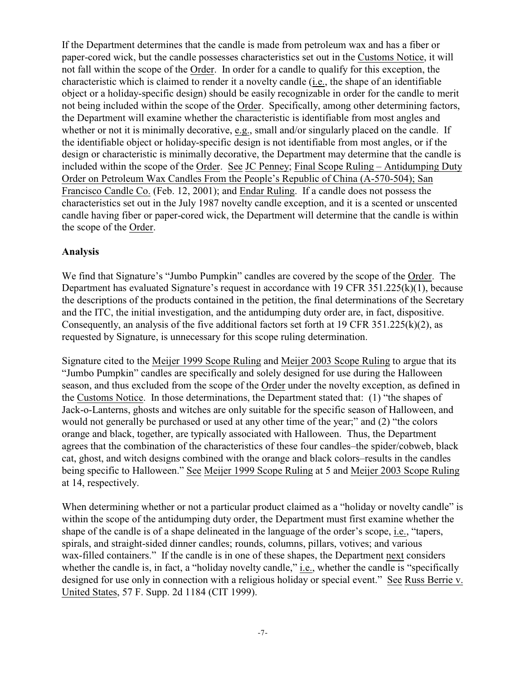If the Department determines that the candle is made from petroleum wax and has a fiber or paper-cored wick, but the candle possesses characteristics set out in the Customs Notice, it will not fall within the scope of the Order. In order for a candle to qualify for this exception, the characteristic which is claimed to render it a novelty candle (i.e., the shape of an identifiable object or a holiday-specific design) should be easily recognizable in order for the candle to merit not being included within the scope of the Order. Specifically, among other determining factors, the Department will examine whether the characteristic is identifiable from most angles and whether or not it is minimally decorative, e.g., small and/or singularly placed on the candle. If the identifiable object or holiday-specific design is not identifiable from most angles, or if the design or characteristic is minimally decorative, the Department may determine that the candle is included within the scope of the Order. See JC Penney; Final Scope Ruling – Antidumping Duty Order on Petroleum Wax Candles From the People's Republic of China (A-570-504); San Francisco Candle Co. (Feb. 12, 2001); and Endar Ruling. If a candle does not possess the characteristics set out in the July 1987 novelty candle exception, and it is a scented or unscented candle having fiber or paper-cored wick, the Department will determine that the candle is within the scope of the Order.

# **Analysis**

We find that Signature's "Jumbo Pumpkin" candles are covered by the scope of the Order. The Department has evaluated Signature's request in accordance with 19 CFR 351.225(k)(1), because the descriptions of the products contained in the petition, the final determinations of the Secretary and the ITC, the initial investigation, and the antidumping duty order are, in fact, dispositive. Consequently, an analysis of the five additional factors set forth at 19 CFR 351.225(k)(2), as requested by Signature, is unnecessary for this scope ruling determination.

Signature cited to the Meijer 1999 Scope Ruling and Meijer 2003 Scope Ruling to argue that its "Jumbo Pumpkin" candles are specifically and solely designed for use during the Halloween season, and thus excluded from the scope of the Order under the novelty exception, as defined in the Customs Notice. In those determinations, the Department stated that: (1) "the shapes of Jack-o-Lanterns, ghosts and witches are only suitable for the specific season of Halloween, and would not generally be purchased or used at any other time of the year;" and (2) "the colors orange and black, together, are typically associated with Halloween. Thus, the Department agrees that the combination of the characteristics of these four candles–the spider/cobweb, black cat, ghost, and witch designs combined with the orange and black colors–results in the candles being specific to Halloween." See Meijer 1999 Scope Ruling at 5 and Meijer 2003 Scope Ruling at 14, respectively.

When determining whether or not a particular product claimed as a "holiday or novelty candle" is within the scope of the antidumping duty order, the Department must first examine whether the shape of the candle is of a shape delineated in the language of the order's scope, i.e., "tapers, spirals, and straight-sided dinner candles; rounds, columns, pillars, votives; and various wax-filled containers." If the candle is in one of these shapes, the Department next considers whether the candle is, in fact, a "holiday novelty candle," i.e., whether the candle is "specifically designed for use only in connection with a religious holiday or special event." See Russ Berrie v. United States, 57 F. Supp. 2d 1184 (CIT 1999).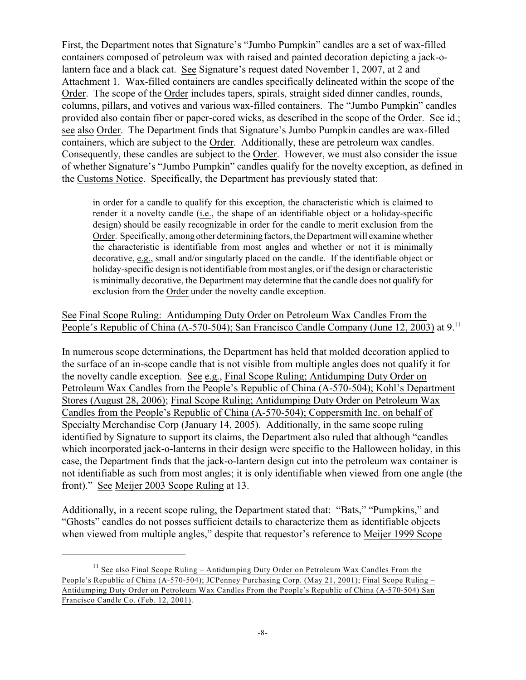First, the Department notes that Signature's "Jumbo Pumpkin" candles are a set of wax-filled containers composed of petroleum wax with raised and painted decoration depicting a jack-olantern face and a black cat. See Signature's request dated November 1, 2007, at 2 and Attachment 1. Wax-filled containers are candles specifically delineated within the scope of the Order. The scope of the Order includes tapers, spirals, straight sided dinner candles, rounds, columns, pillars, and votives and various wax-filled containers. The "Jumbo Pumpkin" candles provided also contain fiber or paper-cored wicks, as described in the scope of the Order. See id.; see also Order. The Department finds that Signature's Jumbo Pumpkin candles are wax-filled containers, which are subject to the Order. Additionally, these are petroleum wax candles. Consequently, these candles are subject to the Order. However, we must also consider the issue of whether Signature's "Jumbo Pumpkin" candles qualify for the novelty exception, as defined in the Customs Notice. Specifically, the Department has previously stated that:

in order for a candle to qualify for this exception, the characteristic which is claimed to render it a novelty candle (i.e., the shape of an identifiable object or a holiday-specific design) should be easily recognizable in order for the candle to merit exclusion from the Order. Specifically, among other determining factors, the Department will examine whether the characteristic is identifiable from most angles and whether or not it is minimally decorative, e.g., small and/or singularly placed on the candle. If the identifiable object or holiday-specific design is not identifiable from most angles, or if the design or characteristic is minimally decorative, the Department may determine that the candle does not qualify for exclusion from the Order under the novelty candle exception.

See Final Scope Ruling: Antidumping Duty Order on Petroleum Wax Candles From the People's Republic of China (A-570-504); San Francisco Candle Company (June 12, 2003) at 9.<sup>11</sup>

In numerous scope determinations, the Department has held that molded decoration applied to the surface of an in-scope candle that is not visible from multiple angles does not qualify it for the novelty candle exception. See e.g., Final Scope Ruling; Antidumping Duty Order on Petroleum Wax Candles from the People's Republic of China (A-570-504); Kohl's Department Stores (August 28, 2006); Final Scope Ruling; Antidumping Duty Order on Petroleum Wax Candles from the People's Republic of China (A-570-504); Coppersmith Inc. on behalf of Specialty Merchandise Corp (January 14, 2005). Additionally, in the same scope ruling identified by Signature to support its claims, the Department also ruled that although "candles which incorporated jack-o-lanterns in their design were specific to the Halloween holiday, in this case, the Department finds that the jack-o-lantern design cut into the petroleum wax container is not identifiable as such from most angles; it is only identifiable when viewed from one angle (the front)." See Meijer 2003 Scope Ruling at 13.

Additionally, in a recent scope ruling, the Department stated that: "Bats," "Pumpkins," and "Ghosts" candles do not posses sufficient details to characterize them as identifiable objects when viewed from multiple angles," despite that requestor's reference to Meijer 1999 Scope

 $11$  See also Final Scope Ruling – Antidumping Duty Order on Petroleum Wax Candles From the People's Republic of China (A-570-504); JCPenney Purchasing Corp. (May 21, 2001); Final Scope Ruling – Antidumping Duty Order on Petroleum Wax Candles From the People's Republic of China (A-570-504) San Francisco Candle Co. (Feb. 12, 2001).